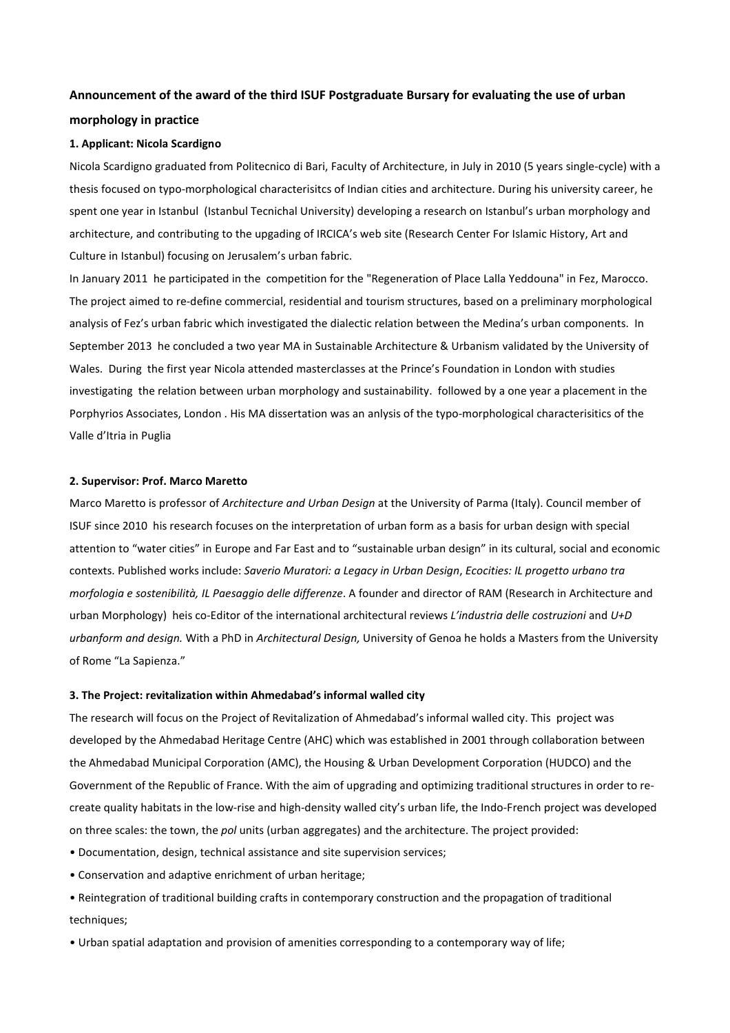# **Announcement of the award of the third ISUF Postgraduate Bursary for evaluating the use of urban morphology in practice**

### **1. Applicant: Nicola Scardigno**

Nicola Scardigno graduated from Politecnico di Bari, Faculty of Architecture, in July in 2010 (5 years single-cycle) with a thesis focused on typo-morphological characterisitcs of Indian cities and architecture. During his university career, he spent one year in Istanbul (Istanbul Tecnichal University) developing a research on Istanbul's urban morphology and architecture, and contributing to the upgading of IRCICA's web site (Research Center For Islamic History, Art and Culture in Istanbul) focusing on Jerusalem's urban fabric.

In January 2011 he participated in the competition for the "Regeneration of Place Lalla Yeddouna" in Fez, Marocco. The project aimed to re-define commercial, residential and tourism structures, based on a preliminary morphological analysis of Fez's urban fabric which investigated the dialectic relation between the Medina's urban components. In September 2013 he concluded a two year MA in Sustainable Architecture & Urbanism validated by the University of Wales. During the first year Nicola attended masterclasses at the Prince's Foundation in London with studies investigating the relation between urban morphology and sustainability. followed by a one year a placement in the Porphyrios Associates, London . His MA dissertation was an anlysis of the typo-morphological characterisitics of the Valle d'Itria in Puglia

#### **2. Supervisor: Prof. Marco Maretto**

Marco Maretto is professor of *Architecture and Urban Design* at the University of Parma (Italy). Council member of ISUF since 2010 his research focuses on the interpretation of urban form as a basis for urban design with special attention to "water cities" in Europe and Far East and to "sustainable urban design" in its cultural, social and economic contexts. Published works include: *Saverio Muratori: a Legacy in Urban Design*, *Ecocities: IL progetto urbano tra morfologia e sostenibilità, IL Paesaggio delle differenze*. A founder and director of RAM (Research in Architecture and urban Morphology) heis co-Editor of the international architectural reviews *L'industria delle costruzioni* and *U+D urbanform and design.* With a PhD in *Architectural Design,* University of Genoa he holds a Masters from the University of Rome "La Sapienza."

#### **3. The Project: revitalization within Ahmedabad's informal walled city**

The research will focus on the Project of Revitalization of Ahmedabad's informal walled city. This project was developed by the Ahmedabad Heritage Centre (AHC) which was established in 2001 through collaboration between the Ahmedabad Municipal Corporation (AMC), the Housing & Urban Development Corporation (HUDCO) and the Government of the Republic of France. With the aim of upgrading and optimizing traditional structures in order to recreate quality habitats in the low-rise and high-density walled city's urban life, the Indo-French project was developed on three scales: the town, the *pol* units (urban aggregates) and the architecture. The project provided:

- Documentation, design, technical assistance and site supervision services;
- Conservation and adaptive enrichment of urban heritage;
- Reintegration of traditional building crafts in contemporary construction and the propagation of traditional techniques:
- Urban spatial adaptation and provision of amenities corresponding to a contemporary way of life;